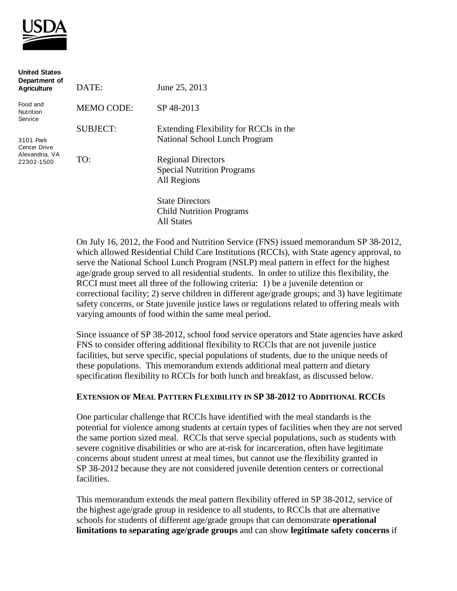

| <b>United States</b><br>Department of<br><b>Agriculture</b>      | DATE:             | June 25, 2013                                                                 |
|------------------------------------------------------------------|-------------------|-------------------------------------------------------------------------------|
| Food and<br>Nutrition<br>Service                                 | <b>MEMO CODE:</b> | SP 48-2013                                                                    |
| 3101 Park<br><b>Center Drive</b><br>Alexandria, VA<br>22302-1500 | <b>SUBJECT:</b>   | Extending Flexibility for RCCIs in the<br>National School Lunch Program       |
|                                                                  | TO:               | <b>Regional Directors</b><br><b>Special Nutrition Programs</b><br>All Regions |
|                                                                  |                   | <b>State Directors</b><br><b>Child Nutrition Programs</b>                     |

All States

varying amounts of food within the same meal period.

On July 16, 2012, the Food and Nutrition Service (FNS) issued memorandum SP 38-2012, which allowed Residential Child Care Institutions (RCCIs), with State agency approval, to serve the National School Lunch Program (NSLP) meal pattern in effect for the highest age/grade group served to all residential students. In order to utilize this flexibility, the RCCI must meet all three of the following criteria: 1) be a juvenile detention or correctional facility; 2) serve children in different age/grade groups; and 3) have legitimate safety concerns, or State juvenile justice laws or regulations related to offering meals with

Since issuance of SP 38-2012, school food service operators and State agencies have asked FNS to consider offering additional flexibility to RCCIs that are not juvenile justice facilities, but serve specific, special populations of students, due to the unique needs of these populations. This memorandum extends additional meal pattern and dietary specification flexibility to RCCIs for both lunch and breakfast, as discussed below.

## **EXTENSION OF MEAL PATTERN FLEXIBILITY IN SP 38-2012 TO ADDITIONAL RCCIS**

One particular challenge that RCCIs have identified with the meal standards is the potential for violence among students at certain types of facilities when they are not served the same portion sized meal. RCCIs that serve special populations, such as students with severe cognitive disabilities or who are at-risk for incarceration, often have legitimate concerns about student unrest at meal times, but cannot use the flexibility granted in SP 38-2012 because they are not considered juvenile detention centers or correctional facilities.

This memorandum extends the meal pattern flexibility offered in SP 38-2012, service of the highest age/grade group in residence to all students, to RCCIs that are alternative schools for students of different age/grade groups that can demonstrate **operational limitations to separating age/grade groups** and can show **legitimate safety concerns** if